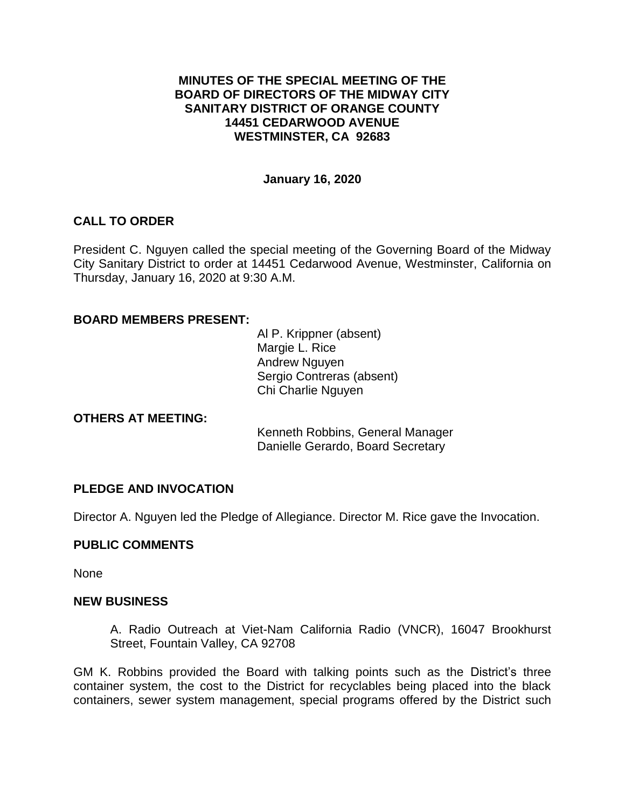## **MINUTES OF THE SPECIAL MEETING OF THE BOARD OF DIRECTORS OF THE MIDWAY CITY SANITARY DISTRICT OF ORANGE COUNTY 14451 CEDARWOOD AVENUE WESTMINSTER, CA 92683**

## **January 16, 2020**

# **CALL TO ORDER**

President C. Nguyen called the special meeting of the Governing Board of the Midway City Sanitary District to order at 14451 Cedarwood Avenue, Westminster, California on Thursday, January 16, 2020 at 9:30 A.M.

## **BOARD MEMBERS PRESENT:**

Al P. Krippner (absent) Margie L. Rice Andrew Nguyen Sergio Contreras (absent) Chi Charlie Nguyen

#### **OTHERS AT MEETING:**

Kenneth Robbins, General Manager Danielle Gerardo, Board Secretary

# **PLEDGE AND INVOCATION**

Director A. Nguyen led the Pledge of Allegiance. Director M. Rice gave the Invocation.

#### **PUBLIC COMMENTS**

None

#### **NEW BUSINESS**

A. Radio Outreach at Viet-Nam California Radio (VNCR), 16047 Brookhurst Street, Fountain Valley, CA 92708

GM K. Robbins provided the Board with talking points such as the District's three container system, the cost to the District for recyclables being placed into the black containers, sewer system management, special programs offered by the District such